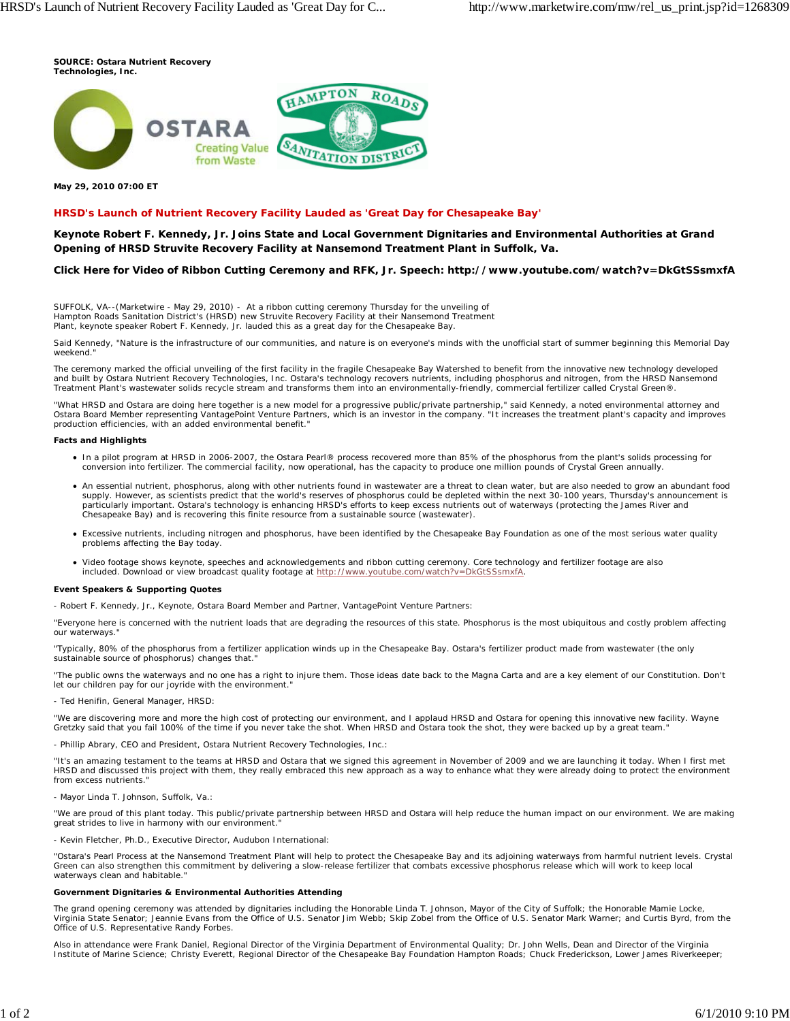**SOURCE: Ostara Nutrient Recovery Technologies, Inc.**



### **May 29, 2010 07:00 ET**

## **HRSD's Launch of Nutrient Recovery Facility Lauded as 'Great Day for Chesapeake Bay'**

**Keynote Robert F. Kennedy, Jr. Joins State and Local Government Dignitaries and Environmental Authorities at Grand Opening of HRSD Struvite Recovery Facility at Nansemond Treatment Plant in Suffolk, Va.**

## **Click Here for Video of Ribbon Cutting Ceremony and RFK, Jr. Speech: http://www.youtube.com/watch?v=DkGtSSsmxfA**

SUFFOLK, VA--(Marketwire - May 29, 2010) - At a ribbon cutting ceremony Thursday for the unveiling of Hampton Roads Sanitation District's (HRSD) new Struvite Recovery Facility at their Nansemond Treatment Plant, keynote speaker Robert F. Kennedy, Jr. lauded this as a great day for the Chesapeake Bay.

Said Kennedy, "Nature is the infrastructure of our communities, and nature is on everyone's minds with the unofficial start of summer beginning this Memorial Day weekend."

The ceremony marked the official unveiling of the first facility in the fragile Chesapeake Bay Watershed to benefit from the innovative new technology developed and built by Ostara Nutrient Recovery Technologies, Inc. Ostara's technology recovers nutrients, including phosphorus and nitrogen, from the HRSD Nansemond Treatment Plant's wastewater solids recycle stream and transforms them into an environmentally-friendly, commercial fertilizer called Crystal Green®.

"What HRSD and Ostara are doing here together is a new model for a progressive public/private partnership," said Kennedy, a noted environmental attorney and Ostara Board Member representing VantagePoint Venture Partners, which is an investor in the company. "It increases the treatment plant's capacity and improves production efficiencies, with an added environmental benefit."

#### **Facts and Highlights**

- In a pilot program at HRSD in 2006-2007, the Ostara Pearl® process recovered more than 85% of the phosphorus from the plant's solids processing for conversion into fertilizer. The commercial facility, now operational, has the capacity to produce one million pounds of Crystal Green annually.
- An essential nutrient, phosphorus, along with other nutrients found in wastewater are a threat to clean water, but are also needed to grow an abundant food supply. However, as scientists predict that the world's reserves of phosphorus could be depleted within the next 30-100 years, Thursday's announcement is particularly important. Ostara's technology is enhancing HRSD's efforts to keep excess nutrients out of waterways (protecting the James River and<br>Chesapeake Bay) and is recovering this finite resource from a sustainable so
- Excessive nutrients, including nitrogen and phosphorus, have been identified by the Chesapeake Bay Foundation as one of the most serious water quality problems affecting the Bay today.
- Video footage shows keynote, speeches and acknowledgements and ribbon cutting ceremony. Core technology and fertilizer footage are also included. Download or view broadcast quality footage at http://www.youtube.com/watch?v=DkGtSSsmxfA.

#### **Event Speakers & Supporting Quotes**

- Robert F. Kennedy, Jr., Keynote, Ostara Board Member and Partner, VantagePoint Venture Partners:

*"Everyone here is concerned with the nutrient loads that are degrading the resources of this state. Phosphorus is the most ubiquitous and costly problem affecting our waterways."*

*"Typically, 80% of the phosphorus from a fertilizer application winds up in the Chesapeake Bay. Ostara's fertilizer product made from wastewater (the only* sustainable source of phosphorus) changes that.

*"The public owns the waterways and no one has a right to injure them. Those ideas date back to the Magna Carta and are a key element of our Constitution. Don't* let our children pay for our joyride with the environment.

- Ted Henifin, General Manager, HRSD:

*"We are discovering more and more the high cost of protecting our environment, and I applaud HRSD and Ostara for opening this innovative new facility. Wayne Gretzky said that you fail 100% of the time if you never take the shot. When HRSD and Ostara took the shot, they were backed up by a great team."*

- Phillip Abrary, CEO and President, Ostara Nutrient Recovery Technologies, Inc.:

*"It's an amazing testament to the teams at HRSD and Ostara that we signed this agreement in November of 2009 and we are launching it today. When I first met HRSD and discussed this project with them, they really embraced this new approach as a way to enhance what they were already doing to protect the environment from excess nutrients."*

- Mayor Linda T. Johnson, Suffolk, Va.:

*"We are proud of this plant today. This public/private partnership between HRSD and Ostara will help reduce the human impact on our environment. We are making great strides to live in harmony with our environment."*

*-* Kevin Fletcher, Ph.D., Executive Director, Audubon International:

*"Ostara's Pearl Process at the Nansemond Treatment Plant will help to protect the Chesapeake Bay and its adjoining waterways from harmful nutrient levels. Crystal Green can also strengthen this commitment by delivering a slow-release fertilizer that combats excessive phosphorus release which will work to keep local waterways clean and habitable."*

#### **Government Dignitaries & Environmental Authorities Attending**

The grand opening ceremony was attended by dignitaries including the Honorable Linda T. Johnson, Mayor of the City of Suffolk; the Honorable Mamie Locke, Virginia State Senator; Jeannie Evans from the Office of U.S. Senator Jim Webb; Skip Zobel from the Office of U.S. Senator Mark Warner; and Curtis Byrd, from the Office of U.S. Representative Randy Forbes.

Also in attendance were Frank Daniel, Regional Director of the Virginia Department of Environmental Quality; Dr. John Wells, Dean and Director of the Virginia Institute of Marine Science; Christy Everett, Regional Director of the Chesapeake Bay Foundation Hampton Roads; Chuck Frederickson, Lower James Riverkeeper;